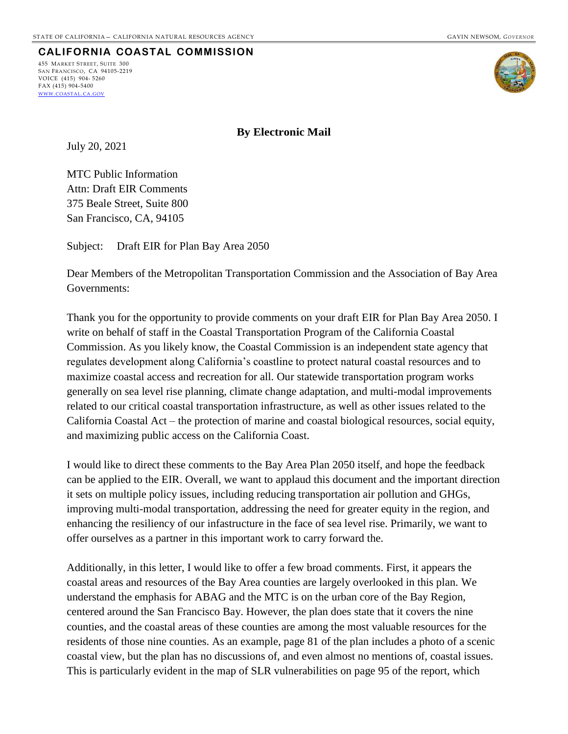# **CALIFORNIA COASTAL COMMISSION**

455 MARKET STREET, SUITE 300 SAN FRANCISCO, CA 94105-2219 VOICE (415) 904- 5260  $FAX (415) 904 - 5400$ WWW.[COASTAL](http://www.coastal.ca.gov/).CA.GOV



**By Electronic Mail**

July 20, 2021

MTC Public Information Attn: Draft EIR Comments 375 Beale Street, Suite 800 San Francisco, CA, 94105

Subject: Draft EIR for Plan Bay Area 2050

Dear Members of the Metropolitan Transportation Commission and the Association of Bay Area Governments:

Thank you for the opportunity to provide comments on your draft EIR for Plan Bay Area 2050. I write on behalf of staff in the Coastal Transportation Program of the California Coastal Commission. As you likely know, the Coastal Commission is an independent state agency that regulates development along California's coastline to protect natural coastal resources and to maximize coastal access and recreation for all. Our statewide transportation program works generally on sea level rise planning, climate change adaptation, and multi-modal improvements related to our critical coastal transportation infrastructure, as well as other issues related to the California Coastal Act – the protection of marine and coastal biological resources, social equity, and maximizing public access on the California Coast.

I would like to direct these comments to the Bay Area Plan 2050 itself, and hope the feedback can be applied to the EIR. Overall, we want to applaud this document and the important direction it sets on multiple policy issues, including reducing transportation air pollution and GHGs, improving multi-modal transportation, addressing the need for greater equity in the region, and enhancing the resiliency of our infastructure in the face of sea level rise. Primarily, we want to offer ourselves as a partner in this important work to carry forward the.

Additionally, in this letter, I would like to offer a few broad comments. First, it appears the coastal areas and resources of the Bay Area counties are largely overlooked in this plan. We understand the emphasis for ABAG and the MTC is on the urban core of the Bay Region, centered around the San Francisco Bay. However, the plan does state that it covers the nine counties, and the coastal areas of these counties are among the most valuable resources for the residents of those nine counties. As an example, page 81 of the plan includes a photo of a scenic coastal view, but the plan has no discussions of, and even almost no mentions of, coastal issues. This is particularly evident in the map of SLR vulnerabilities on page 95 of the report, which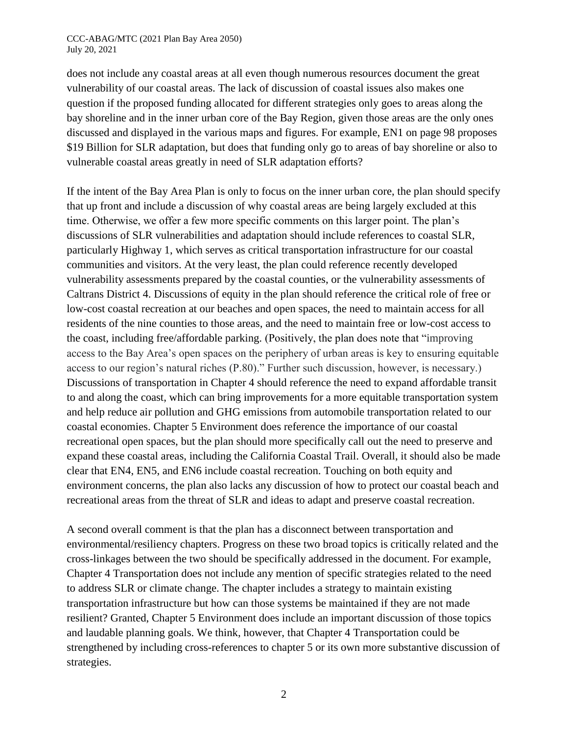#### CCC-ABAG/MTC (2021 Plan Bay Area 2050) July 20, 2021

does not include any coastal areas at all even though numerous resources document the great vulnerability of our coastal areas. The lack of discussion of coastal issues also makes one question if the proposed funding allocated for different strategies only goes to areas along the bay shoreline and in the inner urban core of the Bay Region, given those areas are the only ones discussed and displayed in the various maps and figures. For example, EN1 on page 98 proposes \$19 Billion for SLR adaptation, but does that funding only go to areas of bay shoreline or also to vulnerable coastal areas greatly in need of SLR adaptation efforts?

If the intent of the Bay Area Plan is only to focus on the inner urban core, the plan should specify that up front and include a discussion of why coastal areas are being largely excluded at this time. Otherwise, we offer a few more specific comments on this larger point. The plan's discussions of SLR vulnerabilities and adaptation should include references to coastal SLR, particularly Highway 1, which serves as critical transportation infrastructure for our coastal communities and visitors. At the very least, the plan could reference recently developed vulnerability assessments prepared by the coastal counties, or the vulnerability assessments of Caltrans District 4. Discussions of equity in the plan should reference the critical role of free or low-cost coastal recreation at our beaches and open spaces, the need to maintain access for all residents of the nine counties to those areas, and the need to maintain free or low-cost access to the coast, including free/affordable parking. (Positively, the plan does note that "improving access to the Bay Area's open spaces on the periphery of urban areas is key to ensuring equitable access to our region's natural riches (P.80)." Further such discussion, however, is necessary.) Discussions of transportation in Chapter 4 should reference the need to expand affordable transit to and along the coast, which can bring improvements for a more equitable transportation system and help reduce air pollution and GHG emissions from automobile transportation related to our coastal economies. Chapter 5 Environment does reference the importance of our coastal recreational open spaces, but the plan should more specifically call out the need to preserve and expand these coastal areas, including the California Coastal Trail. Overall, it should also be made clear that EN4, EN5, and EN6 include coastal recreation. Touching on both equity and environment concerns, the plan also lacks any discussion of how to protect our coastal beach and recreational areas from the threat of SLR and ideas to adapt and preserve coastal recreation.

A second overall comment is that the plan has a disconnect between transportation and environmental/resiliency chapters. Progress on these two broad topics is critically related and the cross-linkages between the two should be specifically addressed in the document. For example, Chapter 4 Transportation does not include any mention of specific strategies related to the need to address SLR or climate change. The chapter includes a strategy to maintain existing transportation infrastructure but how can those systems be maintained if they are not made resilient? Granted, Chapter 5 Environment does include an important discussion of those topics and laudable planning goals. We think, however, that Chapter 4 Transportation could be strengthened by including cross-references to chapter 5 or its own more substantive discussion of strategies.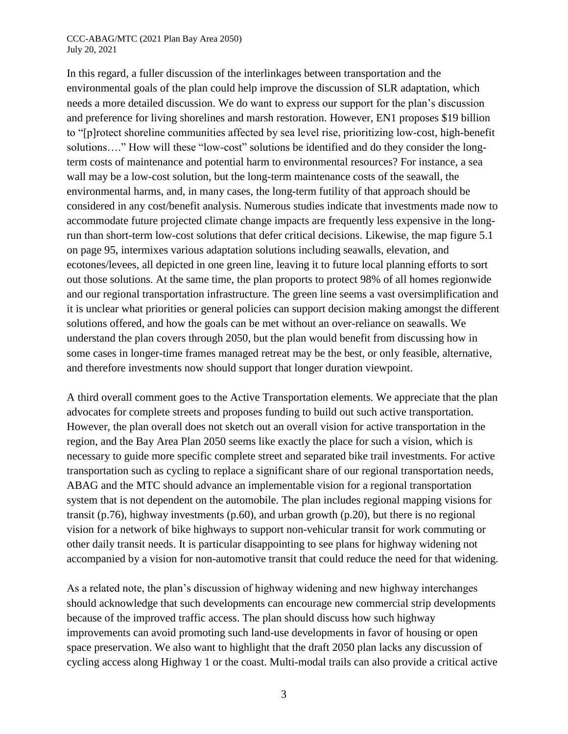#### CCC-ABAG/MTC (2021 Plan Bay Area 2050) July 20, 2021

In this regard, a fuller discussion of the interlinkages between transportation and the environmental goals of the plan could help improve the discussion of SLR adaptation, which needs a more detailed discussion. We do want to express our support for the plan's discussion and preference for living shorelines and marsh restoration. However, EN1 proposes \$19 billion to "[p]rotect shoreline communities affected by sea level rise, prioritizing low-cost, high-benefit solutions...." How will these "low-cost" solutions be identified and do they consider the longterm costs of maintenance and potential harm to environmental resources? For instance, a sea wall may be a low-cost solution, but the long-term maintenance costs of the seawall, the environmental harms, and, in many cases, the long-term futility of that approach should be considered in any cost/benefit analysis. Numerous studies indicate that investments made now to accommodate future projected climate change impacts are frequently less expensive in the longrun than short-term low-cost solutions that defer critical decisions. Likewise, the map figure 5.1 on page 95, intermixes various adaptation solutions including seawalls, elevation, and ecotones/levees, all depicted in one green line, leaving it to future local planning efforts to sort out those solutions. At the same time, the plan proports to protect 98% of all homes regionwide and our regional transportation infrastructure. The green line seems a vast oversimplification and it is unclear what priorities or general policies can support decision making amongst the different solutions offered, and how the goals can be met without an over-reliance on seawalls. We understand the plan covers through 2050, but the plan would benefit from discussing how in some cases in longer-time frames managed retreat may be the best, or only feasible, alternative, and therefore investments now should support that longer duration viewpoint.

A third overall comment goes to the Active Transportation elements. We appreciate that the plan advocates for complete streets and proposes funding to build out such active transportation. However, the plan overall does not sketch out an overall vision for active transportation in the region, and the Bay Area Plan 2050 seems like exactly the place for such a vision, which is necessary to guide more specific complete street and separated bike trail investments. For active transportation such as cycling to replace a significant share of our regional transportation needs, ABAG and the MTC should advance an implementable vision for a regional transportation system that is not dependent on the automobile. The plan includes regional mapping visions for transit (p.76), highway investments (p.60), and urban growth (p.20), but there is no regional vision for a network of bike highways to support non-vehicular transit for work commuting or other daily transit needs. It is particular disappointing to see plans for highway widening not accompanied by a vision for non-automotive transit that could reduce the need for that widening.

As a related note, the plan's discussion of highway widening and new highway interchanges should acknowledge that such developments can encourage new commercial strip developments because of the improved traffic access. The plan should discuss how such highway improvements can avoid promoting such land-use developments in favor of housing or open space preservation. We also want to highlight that the draft 2050 plan lacks any discussion of cycling access along Highway 1 or the coast. Multi-modal trails can also provide a critical active